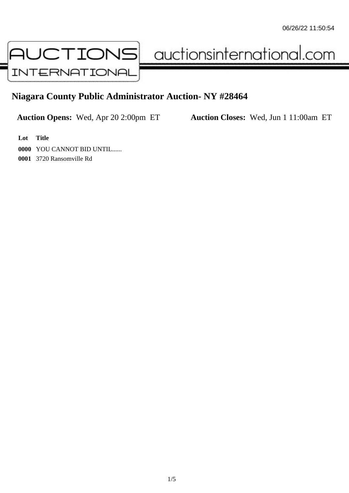

auctionsinternational.com

## **Niagara County Public Administrator Auction- NY #28464**

**Auction Opens:** Wed, Apr 20 2:00pm ET **Auction Closes:** Wed, Jun 1 11:00am ET

**Lot Title**

**0000** YOU CANNOT BID UNTIL......

**0001** 3720 Ransomville Rd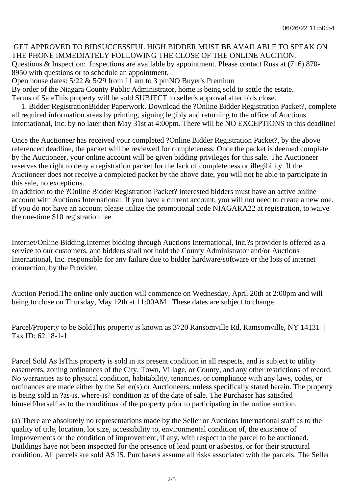## GET APPROVED TO BIDSUCCESSFUL HIGH BIDDER MUST BE AVAILABLE TO SPEAK ON THE PHONE IMMEDIATELY FOLLOWING THE CLOSE OF THE ONLINE AUCTION. Questions & Inspection: Inspections are available by appointment. Please contact Russ at (716) 870-

8950 with questions or to schedule an appointment.

Open house dates:  $5/22 \& 5/29$  from 11 am to 3 pmNO Buyer's Premium

By order of the Niagara County Public Administrator, home is being sold to settle the estate. Terms of SaleThis property will be sold SUBJECT to seller's approval after bids close.

 1. Bidder RegistrationBidder Paperwork. Download the ?Online Bidder Registration Packet?, complete all required information areas by printing, signing legibly and returning to the office of Auctions International, Inc. by no later than May 31st at 4:00pm. There will be NO EXCEPTIONS to this deadline!

Once the Auctioneer has received your completed ?Online Bidder Registration Packet?, by the above referenced deadline, the packet will be reviewed for completeness. Once the packet is deemed complete by the Auctioneer, your online account will be given bidding privileges for this sale. The Auctioneer reserves the right to deny a registration packet for the lack of completeness or illegibility. If the Auctioneer does not receive a completed packet by the above date, you will not be able to participate in this sale, no exceptions.

In addition to the ?Online Bidder Registration Packet? interested bidders must have an active online account with Auctions International. If you have a current account, you will not need to create a new one. If you do not have an account please utilize the promotional code NIAGARA22 at registration, to waive the one-time \$10 registration fee.

Internet/Online Bidding.Internet bidding through Auctions International, Inc.?s provider is offered as a service to our customers, and bidders shall not hold the County Administrator and/or Auctions International, Inc. responsible for any failure due to bidder hardware/software or the loss of internet connection, by the Provider.

Auction Period.The online only auction will commence on Wednesday, April 20th at 2:00pm and will being to close on Thursday, May 12th at 11:00AM . These dates are subject to change.

Parcel/Property to be SoldThis property is known as 3720 Ransomville Rd, Ramsomville, NY 14131 | Tax ID: 62.18-1-1

Parcel Sold As IsThis property is sold in its present condition in all respects, and is subject to utility easements, zoning ordinances of the City, Town, Village, or County, and any other restrictions of record. No warranties as to physical condition, habitability, tenancies, or compliance with any laws, codes, or ordinances are made either by the Seller(s) or Auctioneers, unless specifically stated herein. The property is being sold in ?as-is, where-is? condition as of the date of sale. The Purchaser has satisfied himself/herself as to the conditions of the property prior to participating in the online auction.

(a) There are absolutely no representations made by the Seller or Auctions International staff as to the quality of title, location, lot size, accessibility to, environmental condition of, the existence of improvements or the condition of improvement, if any, with respect to the parcel to be auctioned. Buildings have not been inspected for the presence of lead paint or asbestos, or for their structural condition. All parcels are sold AS IS. Purchasers assume all risks associated with the parcels. The Seller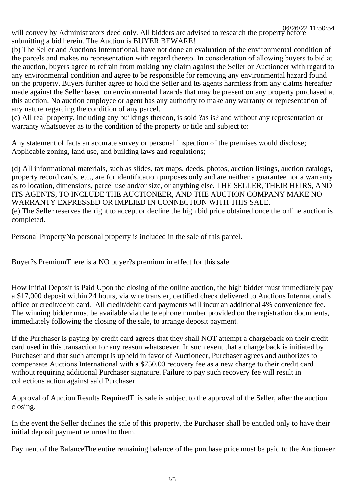will convey by Administrators deed only. All bidders are advised to research the property before 06/26/22 11:50:54submitting a bid herein. The Auction is BUYER BEWARE!

(b) The Seller and Auctions International, have not done an evaluation of the environmental condition of the parcels and makes no representation with regard thereto. In consideration of allowing buyers to bid at the auction, buyers agree to refrain from making any claim against the Seller or Auctioneer with regard to any environmental condition and agree to be responsible for removing any environmental hazard found on the property. Buyers further agree to hold the Seller and its agents harmless from any claims hereafter made against the Seller based on environmental hazards that may be present on any property purchased at this auction. No auction employee or agent has any authority to make any warranty or representation of any nature regarding the condition of any parcel.

(c) All real property, including any buildings thereon, is sold ?as is? and without any representation or warranty whatsoever as to the condition of the property or title and subject to:

Any statement of facts an accurate survey or personal inspection of the premises would disclose; Applicable zoning, land use, and building laws and regulations;

(d) All informational materials, such as slides, tax maps, deeds, photos, auction listings, auction catalogs, property record cards, etc., are for identification purposes only and are neither a guarantee nor a warranty as to location, dimensions, parcel use and/or size, or anything else. THE SELLER, THEIR HEIRS, AND ITS AGENTS, TO INCLUDE THE AUCTIONEER, AND THE AUCTION COMPANY MAKE NO WARRANTY EXPRESSED OR IMPLIED IN CONNECTION WITH THIS SALE. (e) The Seller reserves the right to accept or decline the high bid price obtained once the online auction is completed.

Personal PropertyNo personal property is included in the sale of this parcel.

Buyer?s PremiumThere is a NO buyer?s premium in effect for this sale.

How Initial Deposit is Paid Upon the closing of the online auction, the high bidder must immediately pay a \$17,000 deposit within 24 hours, via wire transfer, certified check delivered to Auctions International's office or credit/debit card. All credit/debit card payments will incur an additional 4% convenience fee. The winning bidder must be available via the telephone number provided on the registration documents, immediately following the closing of the sale, to arrange deposit payment.

If the Purchaser is paying by credit card agrees that they shall NOT attempt a chargeback on their credit card used in this transaction for any reason whatsoever. In such event that a charge back is initiated by Purchaser and that such attempt is upheld in favor of Auctioneer, Purchaser agrees and authorizes to compensate Auctions International with a \$750.00 recovery fee as a new charge to their credit card without requiring additional Purchaser signature. Failure to pay such recovery fee will result in collections action against said Purchaser.

Approval of Auction Results RequiredThis sale is subject to the approval of the Seller, after the auction closing.

In the event the Seller declines the sale of this property, the Purchaser shall be entitled only to have their initial deposit payment returned to them.

Payment of the BalanceThe entire remaining balance of the purchase price must be paid to the Auctioneer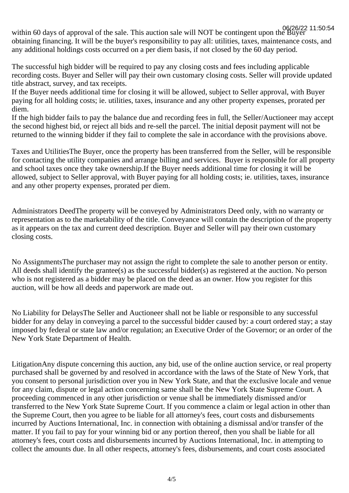within 60 days of approval of the sale. This auction sale will NOT be contingent upon the Buyer 06/26/22 11:50:54obtaining financing. It will be the buyer's responsibility to pay all: utilities, taxes, maintenance costs, and any additional holdings costs occurred on a per diem basis, if not closed by the 60 day period.

The successful high bidder will be required to pay any closing costs and fees including applicable recording costs. Buyer and Seller will pay their own customary closing costs. Seller will provide updated title abstract, survey, and tax receipts.

If the Buyer needs additional time for closing it will be allowed, subject to Seller approval, with Buyer paying for all holding costs; ie. utilities, taxes, insurance and any other property expenses, prorated per diem.

If the high bidder fails to pay the balance due and recording fees in full, the Seller/Auctioneer may accept the second highest bid, or reject all bids and re-sell the parcel. The initial deposit payment will not be returned to the winning bidder if they fail to complete the sale in accordance with the provisions above.

Taxes and UtilitiesThe Buyer, once the property has been transferred from the Seller, will be responsible for contacting the utility companies and arrange billing and services. Buyer is responsible for all property and school taxes once they take ownership.If the Buyer needs additional time for closing it will be allowed, subject to Seller approval, with Buyer paying for all holding costs; ie. utilities, taxes, insurance and any other property expenses, prorated per diem.

Administrators DeedThe property will be conveyed by Administrators Deed only, with no warranty or representation as to the marketability of the title. Conveyance will contain the description of the property as it appears on the tax and current deed description. Buyer and Seller will pay their own customary closing costs.

No AssignmentsThe purchaser may not assign the right to complete the sale to another person or entity. All deeds shall identify the grantee(s) as the successful bidder(s) as registered at the auction. No person who is not registered as a bidder may be placed on the deed as an owner. How you register for this auction, will be how all deeds and paperwork are made out.

No Liability for DelaysThe Seller and Auctioneer shall not be liable or responsible to any successful bidder for any delay in conveying a parcel to the successful bidder caused by: a court ordered stay; a stay imposed by federal or state law and/or regulation; an Executive Order of the Governor; or an order of the New York State Department of Health.

LitigationAny dispute concerning this auction, any bid, use of the online auction service, or real property purchased shall be governed by and resolved in accordance with the laws of the State of New York, that you consent to personal jurisdiction over you in New York State, and that the exclusive locale and venue for any claim, dispute or legal action concerning same shall be the New York State Supreme Court. A proceeding commenced in any other jurisdiction or venue shall be immediately dismissed and/or transferred to the New York State Supreme Court. If you commence a claim or legal action in other than the Supreme Court, then you agree to be liable for all attorney's fees, court costs and disbursements incurred by Auctions International, Inc. in connection with obtaining a dismissal and/or transfer of the matter. If you fail to pay for your winning bid or any portion thereof, then you shall be liable for all attorney's fees, court costs and disbursements incurred by Auctions International, Inc. in attempting to collect the amounts due. In all other respects, attorney's fees, disbursements, and court costs associated